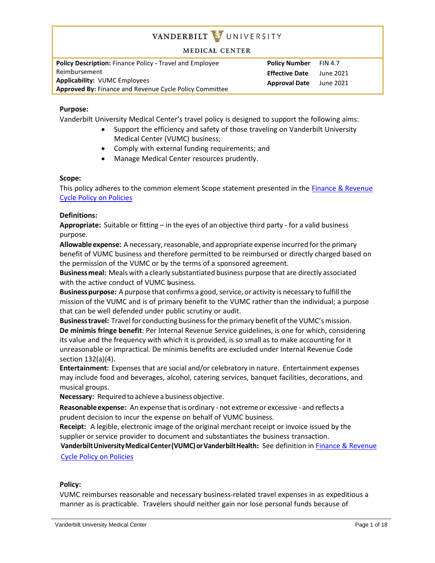#### **MEDICAL CENTER**

**Policy Description:** Finance Policy **-** Travel and Employee Reimbursement **Applicability:** VUMC Employees **Approved By:** Finance and Revenue Cycle Policy Committee **Policy Number** FIN 4.7 **Effective Date** June 2021 **Approval Date** June 2021

## **Purpose:**

Vanderbilt University Medical Center's travel policy is designed to support the following aims:

- Support the efficiency and safety of those traveling on Vanderbilt University Medical Center (VUMC) business;
- Comply with external funding requirements; and
- Manage Medical Center resources prudently.

#### **Scope:**

This policy adheres to the common element Scope statement presented in the [Finance & Revenue](https://vanderbilt.policytech.com/docview/?docid=26395)  [Cycle Policy on Policies](https://vanderbilt.policytech.com/docview/?docid=26395)

#### **Definitions:**

**Appropriate:** Suitable or fitting – in the eyes of an objective third party - for a valid business purpose.

Allowable expense: A necessary, reasonable, and appropriate expense incurred for the primary benefit of VUMC business and therefore permitted to be reimbursed or directly charged based on the permission of the VUMC or by the terms of a sponsored agreement.

**Businessmeal:** Meals with a clearly substantiated business purpose that are directly associated with the active conduct of VUMC business.

**Business purpose:** A purpose that confirms a good, service, or activity is necessary to fulfill the mission of the VUMC and is of primary benefit to the VUMC rather than the individual; a purpose that can be well defended under public scrutiny or audit.

**Businesstravel:** Travel for conducting businessforthe primary benefit ofthe VUMC'smission. **De minimis fringe benefit**: Per Internal Revenue Service guidelines, is one for which, considering its value and the frequency with which it is provided, is so small as to make accounting for it unreasonable or impractical. De minimis benefits are excluded under Internal Revenue Code section 132(a)(4).

**Entertainment:** Expenses that are social and/or celebratory in nature. Entertainment expenses may include food and beverages, alcohol, catering services, banquet facilities, decorations, and musical groups.

**Necessary:** Required to achieve a business objective.

**Reasonable expense:** An expense that is ordinary - not extreme or excessive - and reflects a prudent decision to incur the expense on behalf of VUMC business.

**Receipt:** A legible, electronic image of the original merchant receipt or invoice issued by the supplier or service provider to document and substantiates the business transaction.

**VanderbiltUniversityMedicalCenter(VUMC)orVanderbiltHealth:** See definition in [Finance & Revenue](https://vanderbilt.policytech.com/docview/?docid=26395)  [Cycle Policy on Policies](https://vanderbilt.policytech.com/docview/?docid=26395)

#### **Policy:**

VUMC reimburses reasonable and necessary business-related travel expenses in as expeditious a manner as is practicable. Travelers should neither gain nor lose personal funds because of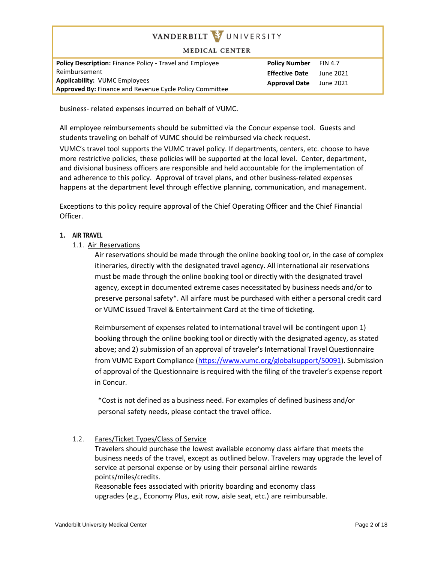#### **MEDICAL CENTER**

| <b>Policy Description: Finance Policy - Travel and Employee</b> | <b>Policy Number</b>  | <b>FIN 4.7</b> |
|-----------------------------------------------------------------|-----------------------|----------------|
| Reimbursement                                                   | <b>Effective Date</b> | June 2021      |
| <b>Applicability: VUMC Employees</b><br><b>Approval Date</b>    |                       | June 2021      |
| <b>Approved By: Finance and Revenue Cycle Policy Committee</b>  |                       |                |

business- related expenses incurred on behalf of VUMC.

All employee reimbursements should be submitted via the Concur expense tool. Guests and students traveling on behalf of VUMC should be reimbursed via check request.

VUMC's travel tool supports the VUMC travel policy. If departments, centers, etc. choose to have more restrictive policies, these policies will be supported at the local level. Center, department, and divisional business officers are responsible and held accountable for the implementation of and adherence to this policy. Approval of travel plans, and other business-related expenses happens at the department level through effective planning, communication, and management.

Exceptions to this policy require approval of the Chief Operating Officer and the Chief Financial Officer.

#### **1. AIR TRAVEL**

1.1. Air Reservations

Air reservations should be made through the online booking tool or, in the case of complex itineraries, directly with the designated travel agency. All international air reservations must be made through the online booking tool or directly with the designated travel agency, except in documented extreme cases necessitated by business needs and/or to preserve personal safety\*. All airfare must be purchased with either a personal credit card or VUMC issued Travel & Entertainment Card at the time of ticketing.

Reimbursement of expenses related to international travel will be contingent upon 1) booking through the online booking tool or directly with the designated agency, as stated above; and 2) submission of an approval of traveler's International Travel Questionnaire from VUMC Export Compliance [\(https://www.vumc.org/globalsupport/50091\)](https://www.vumc.org/globalsupport/50091). Submission of approval of the Questionnaire is required with the filing of the traveler's expense report in Concur.

\*Cost is not defined as a business need. For examples of defined business and/or personal safety needs, please contact the travel office.

## 1.2. Fares/Ticket Types/Class of Service

Travelers should purchase the lowest available economy class airfare that meets the business needs of the travel, except as outlined below. Travelers may upgrade the level of service at personal expense or by using their personal airline rewards points/miles/credits.

Reasonable fees associated with priority boarding and economy class upgrades (e.g., Economy Plus, exit row, aisle seat, etc.) are reimbursable.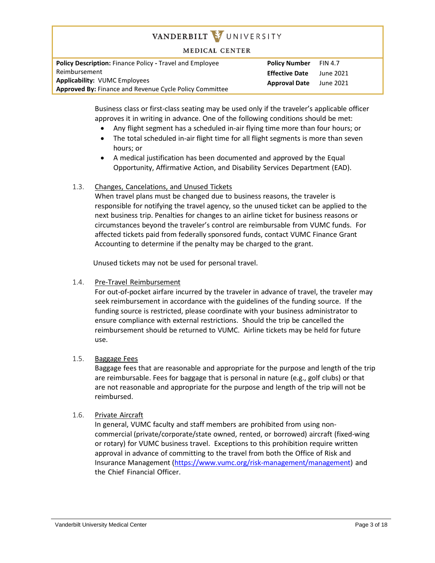#### **MEDICAL CENTER**

**Policy Description:** Finance Policy **-** Travel and Employee Reimbursement **Applicability:** VUMC Employees **Approved By:** Finance and Revenue Cycle Policy Committee **Policy Number** FIN 4.7 **Effective Date** June 2021 **Approval Date** June 2021

Business class or first-class seating may be used only if the traveler's applicable officer approves it in writing in advance. One of the following conditions should be met:

- Any flight segment has a scheduled in-air flying time more than four hours; or
- The total scheduled in-air flight time for all flight segments is more than seven hours; or
- A medical justification has been documented and approved by the Equal Opportunity, Affirmative Action, and Disability Services Department (EAD).

## 1.3. Changes, Cancelations, and Unused Tickets

When travel plans must be changed due to business reasons, the traveler is responsible for notifying the travel agency, so the unused ticket can be applied to the next business trip. Penalties for changes to an airline ticket for business reasons or circumstances beyond the traveler's control are reimbursable from VUMC funds. For affected tickets paid from federally sponsored funds, contact VUMC Finance Grant Accounting to determine if the penalty may be charged to the grant.

Unused tickets may not be used for personal travel.

## 1.4. Pre-Travel Reimbursement

For out-of-pocket airfare incurred by the traveler in advance of travel, the traveler may seek reimbursement in accordance with the guidelines of the funding source. If the funding source is restricted, please coordinate with your business administrator to ensure compliance with external restrictions. Should the trip be cancelled the reimbursement should be returned to VUMC. Airline tickets may be held for future use.

## 1.5. Baggage Fees

Baggage fees that are reasonable and appropriate for the purpose and length of the trip are reimbursable. Fees for baggage that is personal in nature (e.g., golf clubs) or that are not reasonable and appropriate for the purpose and length of the trip will not be reimbursed.

## 1.6. Private Aircraft

In general, VUMC faculty and staff members are prohibited from using noncommercial (private/corporate/state owned, rented, or borrowed) aircraft (fixed-wing or rotary) for VUMC business travel. Exceptions to this prohibition require written approval in advance of committing to the travel from both the Office of Risk and Insurance Management [\(https://www.vumc.org/risk-management/management\)](https://www.vumc.org/risk-management/management) and the Chief Financial Officer.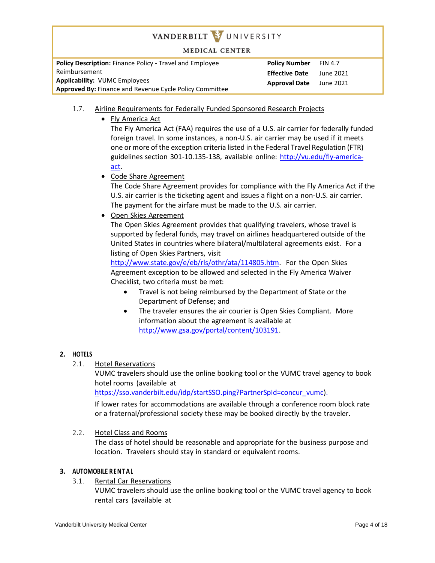**MEDICAL CENTER** 

**Policy Description:** Finance Policy **-** Travel and Employee Reimbursement **Applicability:** VUMC Employees **Approved By:** Finance and Revenue Cycle Policy Committee **Policy Number** FIN 4.7 **Effective Date** June 2021 **Approval Date** June 2021

- 1.7. Airline Requirements for Federally Funded Sponsored Research Projects
	- Fly America Act

The Fly America Act (FAA) requires the use of a U.S. air carrier for federally funded foreign travel. In some instances, a non-U.S. air carrier may be used if it meets one or more of the exception criteria listed in the Federal Travel Regulation (FTR) guidelines section 301-10.135-138, available online: [http://vu.edu/fly-america](http://vu.edu/fly-america-act)[act.](http://vu.edu/fly-america-act)

Code Share Agreement

The Code Share Agreement provides for compliance with the Fly America Act if the U.S. air carrier is the ticketing agent and issues a flight on a non-U.S. air carrier. The payment for the airfare must be made to the U.S. air carrier.

Open Skies Agreement

The Open Skies Agreement provides that qualifying travelers, whose travel is supported by federal funds, may travel on airlines headquartered outside of the United States in countries where bilateral/multilateral agreements exist. For a listing of Open Skies Partners, visit

[http://www.state.gov/e/eb/rls/othr/ata/114805.htm.](http://www.state.gov/e/eb/rls/othr/ata/114805.htm) For the Open Skies Agreement exception to be allowed and selected in the Fly America Waiver Checklist, two criteria must be met:

- Travel is not being reimbursed by the Department of State or the Department of Defense; and
- The traveler ensures the air courier is Open Skies Compliant. More information about the agreement is available at [http://www.gsa.gov/portal/content/103191.](http://www.gsa.gov/portal/content/103191)

## **2. HOTELS**

2.1. Hotel Reservations

VUMC travelers should use the online booking tool or the VUMC travel agency to book hotel rooms (available at

https://sso.vanderbilt.edu/idp/startSSO.ping?PartnerSpId=concur\_vumc).

If lower rates for accommodations are available through a conference room block rate or a fraternal/professional society these may be booked directly by the traveler.

## 2.2. Hotel Class and Rooms

The class of hotel should be reasonable and appropriate for the business purpose and location. Travelers should stay in standard or equivalent rooms.

## **3. AUTOMOBILE RENTAL**

## 3.1. Rental Car Reservations

VUMC travelers should use the online booking tool or the VUMC travel agency to book rental cars (available at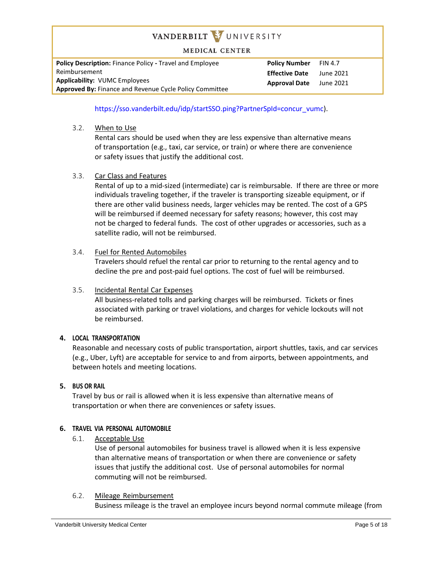**MEDICAL CENTER** 

**Policy Description:** Finance Policy **-** Travel and Employee Reimbursement **Applicability:** VUMC Employees **Approved By:** Finance and Revenue Cycle Policy Committee **Policy Number** FIN 4.7 **Effective Date** June 2021 **Approval Date** June 2021

https://sso.vanderbilt.edu/idp/startSSO.ping?PartnerSpId=concur\_vumc).

3.2. When to Use

Rental cars should be used when they are less expensive than alternative means of transportation (e.g., taxi, car service, or train) or where there are convenience or safety issues that justify the additional cost.

3.3. Car Class and Features

Rental of up to a mid-sized (intermediate) car is reimbursable. If there are three or more individuals traveling together, if the traveler is transporting sizeable equipment, or if there are other valid business needs, larger vehicles may be rented. The cost of a GPS will be reimbursed if deemed necessary for safety reasons; however, this cost may not be charged to federal funds. The cost of other upgrades or accessories, such as a satellite radio, will not be reimbursed.

## 3.4. Fuel for Rented Automobiles

Travelers should refuel the rental car prior to returning to the rental agency and to decline the pre and post-paid fuel options. The cost of fuel will be reimbursed.

## 3.5. Incidental Rental Car Expenses

All business-related tolls and parking charges will be reimbursed. Tickets or fines associated with parking or travel violations, and charges for vehicle lockouts will not be reimbursed.

## **4. LOCAL TRANSPORTATION**

Reasonable and necessary costs of public transportation, airport shuttles, taxis, and car services (e.g., Uber, Lyft) are acceptable for service to and from airports, between appointments, and between hotels and meeting locations.

## **5. BUS OR RAIL**

Travel by bus or rail is allowed when it is less expensive than alternative means of transportation or when there are conveniences or safety issues.

## **6. TRAVEL VIA PERSONAL AUTOMOBILE**

6.1. Acceptable Use

Use of personal automobiles for business travel is allowed when it is less expensive than alternative means of transportation or when there are convenience or safety issues that justify the additional cost. Use of personal automobiles for normal commuting will not be reimbursed.

## 6.2. Mileage Reimbursement

Business mileage is the travel an employee incurs beyond normal commute mileage (from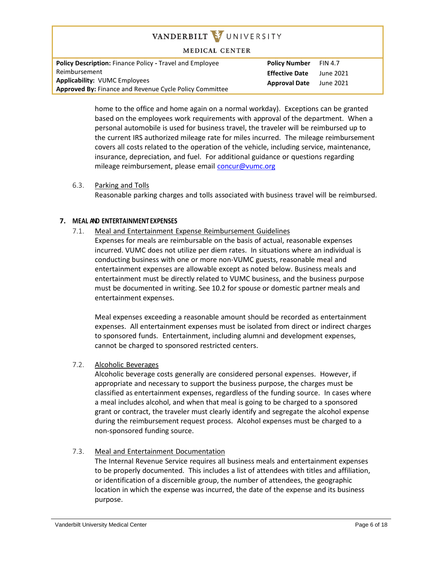**MEDICAL CENTER** 

**Policy Description:** Finance Policy **-** Travel and Employee Reimbursement **Applicability:** VUMC Employees **Approved By:** Finance and Revenue Cycle Policy Committee **Policy Number** FIN 4.7 **Effective Date** June 2021 **Approval Date** June 2021

home to the office and home again on a normal workday). Exceptions can be granted based on the employees work requirements with approval of the department. When a personal automobile is used for business travel, the traveler will be reimbursed up to the current IRS authorized mileage rate for miles incurred. The mileage reimbursement covers all costs related to the operation of the vehicle, including service, maintenance, insurance, depreciation, and fuel. For additional guidance or questions regarding mileage reimbursement, please email [concur@vumc.org](mailto:VUMCconcur@vanderbilt.edu)

6.3. Parking and Tolls Reasonable parking charges and tolls associated with business travel will be reimbursed.

## **7. MEAL AND ENTERTAINMENT EXPENSES**

7.1. Meal and Entertainment Expense Reimbursement Guidelines

Expenses for meals are reimbursable on the basis of actual, reasonable expenses incurred. VUMC does not utilize per diem rates. In situations where an individual is conducting business with one or more non-VUMC guests, reasonable meal and entertainment expenses are allowable except as noted below. Business meals and entertainment must be directly related to VUMC business, and the business purpose must be documented in writing. See 10.2 for spouse or domestic partner meals and entertainment expenses.

Meal expenses exceeding a reasonable amount should be recorded as entertainment expenses. All entertainment expenses must be isolated from direct or indirect charges to sponsored funds. Entertainment, including alumni and development expenses, cannot be charged to sponsored restricted centers.

7.2. Alcoholic Beverages

Alcoholic beverage costs generally are considered personal expenses. However, if appropriate and necessary to support the business purpose, the charges must be classified as entertainment expenses, regardless of the funding source. In cases where a meal includes alcohol, and when that meal is going to be charged to a sponsored grant or contract, the traveler must clearly identify and segregate the alcohol expense during the reimbursement request process. Alcohol expenses must be charged to a non-sponsored funding source.

7.3. Meal and Entertainment Documentation

The Internal Revenue Service requires all business meals and entertainment expenses to be properly documented. This includes a list of attendees with titles and affiliation, or identification of a discernible group, the number of attendees, the geographic location in which the expense was incurred, the date of the expense and its business purpose.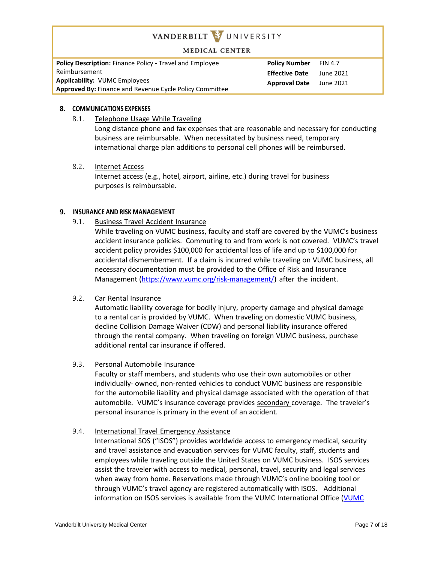#### **MEDICAL CENTER**

**Policy Description:** Finance Policy **-** Travel and Employee Reimbursement **Applicability:** VUMC Employees **Approved By:** Finance and Revenue Cycle Policy Committee **Policy Number** FIN 4.7 **Effective Date** June 2021 **Approval Date** June 2021

#### **8. COMMUNICATIONS EXPENSES**

8.1. Telephone Usage While Traveling

Long distance phone and fax expenses that are reasonable and necessary for conducting business are reimbursable. When necessitated by business need, temporary international charge plan additions to personal cell phones will be reimbursed.

8.2. Internet Access

Internet access (e.g., hotel, airport, airline, etc.) during travel for business purposes is reimbursable.

#### **9. INSURANCE AND RISK MANAGEMENT**

9.1. Business Travel Accident Insurance

While traveling on VUMC business, faculty and staff are covered by the VUMC's business accident insurance policies. Commuting to and from work is not covered. VUMC's travel accident policy provides \$100,000 for accidental loss of life and up to \$100,000 for accidental dismemberment. If a claim is incurred while traveling on VUMC business, all necessary documentation must be provided to the Office of Risk and Insurance Management [\(https://www.vumc.org/risk-management/\)](https://www.vumc.org/risk-management/) after the incident.

## 9.2. Car Rental Insurance

Automatic liability coverage for bodily injury, property damage and physical damage to a rental car is provided by VUMC. When traveling on domestic VUMC business, decline Collision Damage Waiver (CDW) and personal liability insurance offered through the rental company. When traveling on foreign VUMC business, purchase additional rental car insurance if offered.

9.3. Personal Automobile Insurance

Faculty or staff members, and students who use their own automobiles or other individually- owned, non-rented vehicles to conduct VUMC business are responsible for the automobile liability and physical damage associated with the operation of that automobile. VUMC's insurance coverage provides secondary coverage. The traveler's personal insurance is primary in the event of an accident.

## 9.4. International Travel Emergency Assistance

International SOS ("ISOS") provides worldwide access to emergency medical, security and travel assistance and evacuation services for VUMC faculty, staff, students and employees while traveling outside the United States on VUMC business. ISOS services assist the traveler with access to medical, personal, travel, security and legal services when away from home. Reservations made through VUMC's online booking tool or through VUMC's travel agency are registered automatically with ISOS. Additional information on ISOS services is available from the VUMC International Office [\(VUMC](https://www.vumc.org/globalsupport/50286)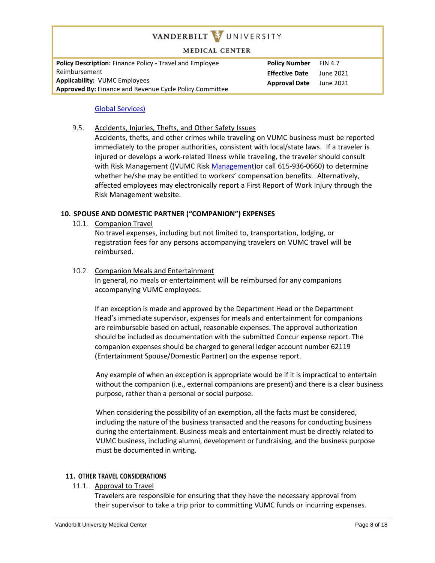#### **MEDICAL CENTER**

**Policy Description:** Finance Policy **-** Travel and Employee Reimbursement **Applicability:** VUMC Employees **Approved By:** Finance and Revenue Cycle Policy Committee **Policy Number** FIN 4.7 **Effective Date** June 2021 **Approval Date** June 2021

#### Global [Services\)](https://www.vumc.org/globalsupport/50286)

9.5. Accidents, Injuries, Thefts, and Other Safety Issues Accidents, thefts, and other crimes while traveling on VUMC business must be reported immediately to the proper authorities, consistent with local/state laws. If a traveler is injured or develops a work-related illness while traveling, the traveler should consult with Risk Management ((VUMC Risk [Management\)](https://www.vumc.org/risk-management/)or call 615-936-0660) to determine whether he/she may be entitled to workers' compensation benefits. Alternatively, affected employees may electronically report a First Report of Work Injury through the Risk Management website.

## **10. SPOUSE AND DOMESTIC PARTNER ("COMPANION") EXPENSES**

10.1. Companion Travel

No travel expenses, including but not limited to, transportation, lodging, or registration fees for any persons accompanying travelers on VUMC travel will be reimbursed.

10.2. Companion Meals and Entertainment

In general, no meals or entertainment will be reimbursed for any companions accompanying VUMC employees.

If an exception is made and approved by the Department Head or the Department Head's immediate supervisor, expenses for meals and entertainment for companions are reimbursable based on actual, reasonable expenses. The approval authorization should be included as documentation with the submitted Concur expense report. The companion expenses should be charged to general ledger account number 62119 (Entertainment Spouse/Domestic Partner) on the expense report.

Any example of when an exception is appropriate would be if it is impractical to entertain without the companion (i.e., external companions are present) and there is a clear business purpose, rather than a personal or social purpose.

When considering the possibility of an exemption, all the facts must be considered, including the nature of the business transacted and the reasons for conducting business during the entertainment. Business meals and entertainment must be directly related to VUMC business, including alumni, development or fundraising, and the business purpose must be documented in writing.

#### **11. OTHER TRAVEL CONSIDERATIONS**

11.1. Approval to Travel

Travelers are responsible for ensuring that they have the necessary approval from their supervisor to take a trip prior to committing VUMC funds or incurring expenses.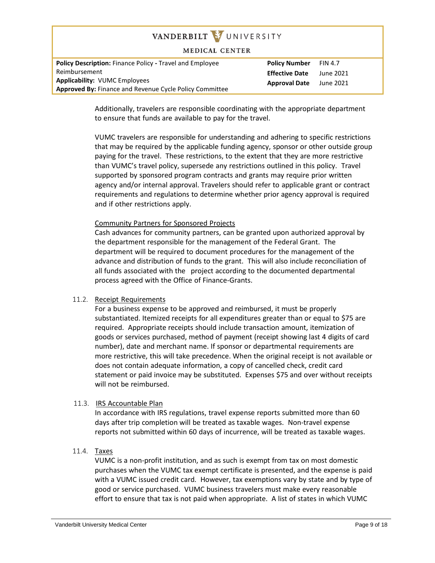#### **MEDICAL CENTER**

| <b>Policy Description:</b> Finance Policy - Travel and Employee | <b>Policy Number</b>  | <b>FIN 4.7</b> |
|-----------------------------------------------------------------|-----------------------|----------------|
| Reimbursement                                                   | <b>Effective Date</b> | June 2021      |
| <b>Applicability: VUMC Employees</b>                            | <b>Approval Date</b>  | June 2021      |
| <b>Approved By: Finance and Revenue Cycle Policy Committee</b>  |                       |                |

Additionally, travelers are responsible coordinating with the appropriate department to ensure that funds are available to pay for the travel.

VUMC travelers are responsible for understanding and adhering to specific restrictions that may be required by the applicable funding agency, sponsor or other outside group paying for the travel. These restrictions, to the extent that they are more restrictive than VUMC's travel policy, supersede any restrictions outlined in this policy. Travel supported by sponsored program contracts and grants may require prior written agency and/or internal approval. Travelers should refer to applicable grant or contract requirements and regulations to determine whether prior agency approval is required and if other restrictions apply.

## Community Partners for Sponsored Projects

Cash advances for community partners, can be granted upon authorized approval by the department responsible for the management of the Federal Grant. The department will be required to document procedures for the management of the advance and distribution of funds to the grant. This will also include reconciliation of all funds associated with the project according to the documented departmental process agreed with the Office of Finance-Grants.

#### 11.2. Receipt Requirements

For a business expense to be approved and reimbursed, it must be properly substantiated. Itemized receipts for all expenditures greater than or equal to \$75 are required. Appropriate receipts should include transaction amount, itemization of goods or services purchased, method of payment (receipt showing last 4 digits of card number), date and merchant name. If sponsor or departmental requirements are more restrictive, this will take precedence. When the original receipt is not available or does not contain adequate information, a copy of cancelled check, credit card statement or paid invoice may be substituted. Expenses \$75 and over without receipts will not be reimbursed.

#### 11.3. IRS Accountable Plan

In accordance with IRS regulations, travel expense reports submitted more than 60 days after trip completion will be treated as taxable wages. Non-travel expense reports not submitted within 60 days of incurrence, will be treated as taxable wages.

## 11.4. Taxes

VUMC is a non-profit institution, and as such is exempt from tax on most domestic purchases when the VUMC tax exempt certificate is presented, and the expense is paid with a VUMC issued credit card. However, tax exemptions vary by state and by type of good or service purchased. VUMC business travelers must make every reasonable effort to ensure that tax is not paid when appropriate. A list of states in which VUMC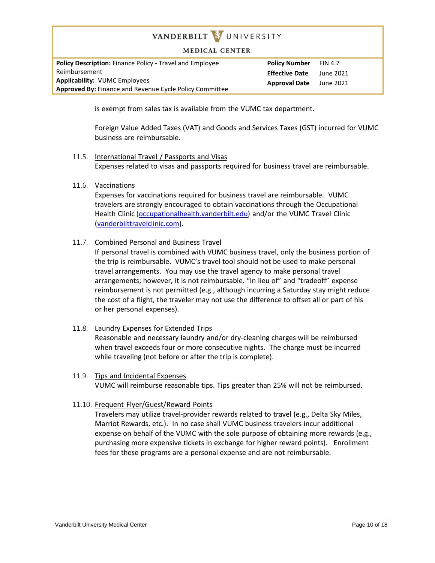#### **MEDICAL CENTER**

**Policy Description:** Finance Policy **-** Travel and Employee Reimbursement **Applicability:** VUMC Employees **Approved By:** Finance and Revenue Cycle Policy Committee

**Policy Number** FIN 4.7 **Effective Date** June 2021 **Approval Date** June 2021

is exempt from sales tax is available from the VUMC tax department.

Foreign Value Added Taxes (VAT) and Goods and Services Taxes (GST) incurred for VUMC business are reimbursable.

11.5. International Travel / Passports and Visas

Expenses related to visas and passports required for business travel are reimbursable.

11.6. Vaccinations

Expenses for vaccinations required for business travel are reimbursable. VUMC travelers are strongly encouraged to obtain vaccinations through the Occupational Health Clinic [\(occupationalhealth.vanderbilt.edu\)](http://www.occupationalhealth.vanderbilt.edu/) and/or the VUMC Travel Clinic [\(vanderbilttravelclinic.com\)](http://www.vanderbilttravelclinic.com/).

### 11.7. Combined Personal and Business Travel

If personal travel is combined with VUMC business travel, only the business portion of the trip is reimbursable. VUMC's travel tool should not be used to make personal travel arrangements. You may use the travel agency to make personal travel arrangements; however, it is not reimbursable. "In lieu of" and "tradeoff" expense reimbursement is not permitted (e.g., although incurring a Saturday stay might reduce the cost of a flight, the traveler may not use the difference to offset all or part of his or her personal expenses).

#### 11.8. Laundry Expenses for Extended Trips

Reasonable and necessary laundry and/or dry-cleaning charges will be reimbursed when travel exceeds four or more consecutive nights. The charge must be incurred while traveling (not before or after the trip is complete).

11.9. Tips and Incidental Expenses VUMC will reimburse reasonable tips. Tips greater than 25% will not be reimbursed.

#### 11.10. Frequent Flyer/Guest/Reward Points

Travelers may utilize travel-provider rewards related to travel (e.g., Delta Sky Miles, Marriot Rewards, etc.). In no case shall VUMC business travelers incur additional expense on behalf of the VUMC with the sole purpose of obtaining more rewards (e.g., purchasing more expensive tickets in exchange for higher reward points). Enrollment fees for these programs are a personal expense and are not reimbursable.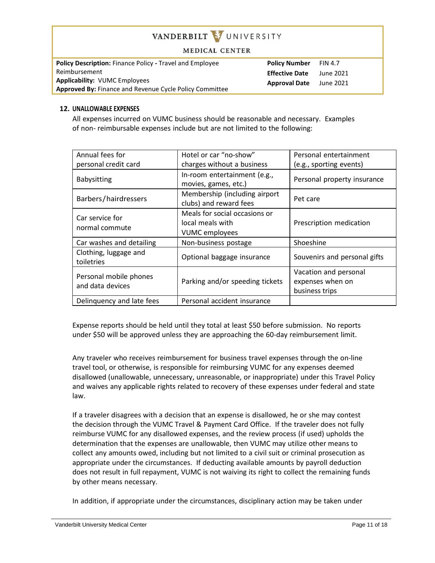#### **MEDICAL CENTER**

| <b>Policy Description: Finance Policy - Travel and Employee</b> |  |  |
|-----------------------------------------------------------------|--|--|
| Reimbursement                                                   |  |  |
| <b>Applicability: VUMC Employees</b>                            |  |  |
| <b>Approved By: Finance and Revenue Cycle Policy Committee</b>  |  |  |

**Policy Number** FIN 4.7 **Effective Date** June 2021 **Approval Date** June 2021

#### **12. UNALLOWABLE EXPENSES**

All expenses incurred on VUMC business should be reasonable and necessary. Examples of non- reimbursable expenses include but are not limited to the following:

| Annual fees for                            | Hotel or car "no-show"                                                     | Personal entertainment                                      |
|--------------------------------------------|----------------------------------------------------------------------------|-------------------------------------------------------------|
| personal credit card                       | charges without a business                                                 | (e.g., sporting events)                                     |
| Babysitting                                | In-room entertainment (e.g.,<br>movies, games, etc.)                       | Personal property insurance                                 |
| Barbers/hairdressers                       | Membership (including airport<br>clubs) and reward fees                    | Pet care                                                    |
| Car service for<br>normal commute          | Meals for social occasions or<br>local meals with<br><b>VUMC</b> employees | Prescription medication                                     |
| Car washes and detailing                   | Non-business postage                                                       | Shoeshine                                                   |
| Clothing, luggage and<br>toiletries        | Optional baggage insurance                                                 | Souvenirs and personal gifts                                |
| Personal mobile phones<br>and data devices | Parking and/or speeding tickets                                            | Vacation and personal<br>expenses when on<br>business trips |
| Delinquency and late fees                  | Personal accident insurance                                                |                                                             |

Expense reports should be held until they total at least \$50 before submission. No reports under \$50 will be approved unless they are approaching the 60-day reimbursement limit.

Any traveler who receives reimbursement for business travel expenses through the on-line travel tool, or otherwise, is responsible for reimbursing VUMC for any expenses deemed disallowed (unallowable, unnecessary, unreasonable, or inappropriate) under this Travel Policy and waives any applicable rights related to recovery of these expenses under federal and state law.

If a traveler disagrees with a decision that an expense is disallowed, he or she may contest the decision through the VUMC Travel & Payment Card Office. If the traveler does not fully reimburse VUMC for any disallowed expenses, and the review process (if used) upholds the determination that the expenses are unallowable, then VUMC may utilize other means to collect any amounts owed, including but not limited to a civil suit or criminal prosecution as appropriate under the circumstances. If deducting available amounts by payroll deduction does not result in full repayment, VUMC is not waiving its right to collect the remaining funds by other means necessary.

In addition, if appropriate under the circumstances, disciplinary action may be taken under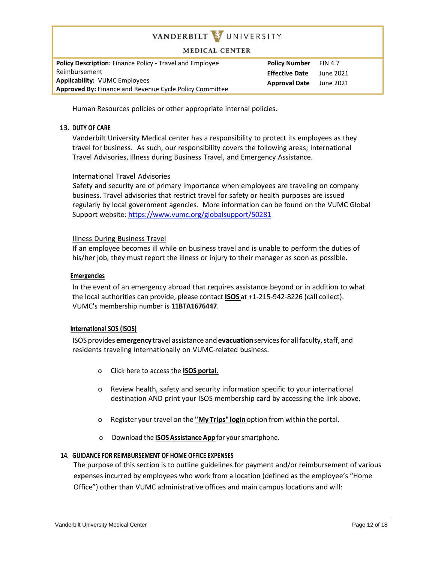#### **MEDICAL CENTER**

**Policy Description:** Finance Policy **-** Travel and Employee Reimbursement **Applicability:** VUMC Employees **Approved By:** Finance and Revenue Cycle Policy Committee **Policy Number** FIN 4.7 **Effective Date** June 2021 **Approval Date** June 2021

Human Resources policies or other appropriate internal policies.

#### **13. DUTY OF CARE**

Vanderbilt University Medical center has a responsibility to protect its employees as they travel for business. As such, our responsibility covers the following areas; International Travel Advisories, Illness during Business Travel, and Emergency Assistance.

#### International Travel Advisories

Safety and security are of primary importance when employees are traveling on company business. Travel advisories that restrict travel for safety or health purposes are issued regularly by local government agencies. More information can be found on the VUMC Global Support website: <https://www.vumc.org/globalsupport/50281>

#### Illness During Business Travel

If an employee becomes ill while on business travel and is unable to perform the duties of his/her job, they must report the illness or injury to their manager as soon as possible.

#### **Emergencies**

In the event of an emergency abroad that requires assistance beyond or in addition to what the local authorities can provide, please contact **[ISOS](http://www.internationalsos.com/Members_Home/login/clientaccess.cfm?custno=11BTA1676447)** at +1-215-942-8226 (call collect). VUMC's membership number is **11BTA1676447**.

#### **International SOS (ISOS)**

ISOS provides **emergency** travel assistance and **evacuation** services for all faculty, staff, and residents traveling internationally on VUMC-related business.

- o Click here to access the **ISOS [portal](http://www.internationalsos.com/Members_Home/login/clientaccess.cfm?custno=11BTA1676447)**.
- o Review health, safety and security information specific to your international destination AND print your ISOS membership card by accessing the link above.
- o Register yourtravel on the **"My [Trips"login](http://mytrips.travelsecurity.com/Login.aspx?ci=lSI4GMlp3KM%3d)**option from within the portal.
- o Download the **[ISOSAssistanceApp](http://app.internationalsos.com/)** for yoursmartphone.

#### **14. GUIDANCE FOR REIMBURSEMENT OF HOME OFFICE EXPENSES**

The purpose of this section is to outline guidelines for payment and/or reimbursement of various expenses incurred by employees who work from a location (defined as the employee's "Home Office") other than VUMC administrative offices and main campus locations and will: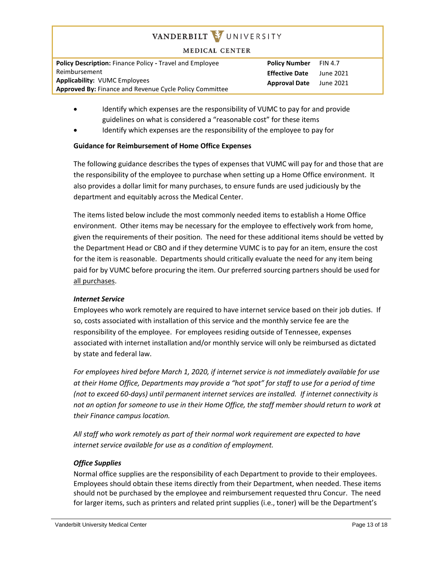#### **MEDICAL CENTER**

| <b>Policy Description: Finance Policy - Travel and Employee</b> |
|-----------------------------------------------------------------|
| Reimbursement                                                   |
| <b>Applicability: VUMC Employees</b>                            |
| <b>Approved By: Finance and Revenue Cycle Policy Committee</b>  |

**Policy Number** FIN 4.7 **Effective Date** June 2021 **Approval Date** June 2021

- Identify which expenses are the responsibility of VUMC to pay for and provide guidelines on what is considered a "reasonable cost" for these items
- Identify which expenses are the responsibility of the employee to pay for

## **Guidance for Reimbursement of Home Office Expenses**

The following guidance describes the types of expenses that VUMC will pay for and those that are the responsibility of the employee to purchase when setting up a Home Office environment. It also provides a dollar limit for many purchases, to ensure funds are used judiciously by the department and equitably across the Medical Center.

The items listed below include the most commonly needed items to establish a Home Office environment. Other items may be necessary for the employee to effectively work from home, given the requirements of their position. The need for these additional items should be vetted by the Department Head or CBO and if they determine VUMC is to pay for an item, ensure the cost for the item is reasonable. Departments should critically evaluate the need for any item being paid for by VUMC before procuring the item. Our preferred sourcing partners should be used for all purchases.

## *Internet Service*

Employees who work remotely are required to have internet service based on their job duties. If so, costs associated with installation of this service and the monthly service fee are the responsibility of the employee. For employees residing outside of Tennessee, expenses associated with internet installation and/or monthly service will only be reimbursed as dictated by state and federal law.

*For employees hired before March 1, 2020, if internet service is not immediately available for use at their Home Office, Departments may provide a "hot spot" for staff to use for a period of time (not to exceed 60-days) until permanent internet services are installed. If internet connectivity is*  not an option for someone to use in their Home Office, the staff member should return to work at *their Finance campus location.*

*All staff who work remotely as part of their normal work requirement are expected to have internet service available for use as a condition of employment.*

## *Office Supplies*

Normal office supplies are the responsibility of each Department to provide to their employees. Employees should obtain these items directly from their Department, when needed. These items should not be purchased by the employee and reimbursement requested thru Concur. The need for larger items, such as printers and related print supplies (i.e., toner) will be the Department's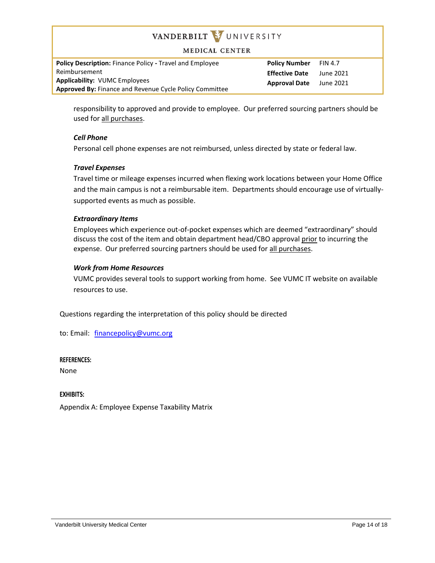#### **MEDICAL CENTER**

**Policy Description:** Finance Policy **-** Travel and Employee Reimbursement **Applicability:** VUMC Employees **Approved By:** Finance and Revenue Cycle Policy Committee **Policy Number** FIN 4.7 **Effective Date** June 2021 **Approval Date** June 2021

responsibility to approved and provide to employee. Our preferred sourcing partners should be used for all purchases.

#### *Cell Phone*

Personal cell phone expenses are not reimbursed, unless directed by state or federal law.

#### *Travel Expenses*

Travel time or mileage expenses incurred when flexing work locations between your Home Office and the main campus is not a reimbursable item. Departments should encourage use of virtuallysupported events as much as possible.

#### *Extraordinary Items*

Employees which experience out-of-pocket expenses which are deemed "extraordinary" should discuss the cost of the item and obtain department head/CBO approval prior to incurring the expense. Our preferred sourcing partners should be used for all purchases.

#### *Work from Home Resources*

VUMC provides several tools to support working from home. See VUMC IT website on available resources to use.

Questions regarding the interpretation of this policy should be directed

to: Email: [financepolicy@vumc.org](mailto:financepolicy@vumc.org)

#### **REFERENCES:**

None

**EXHIBITS:**

Appendix A: Employee Expense Taxability Matrix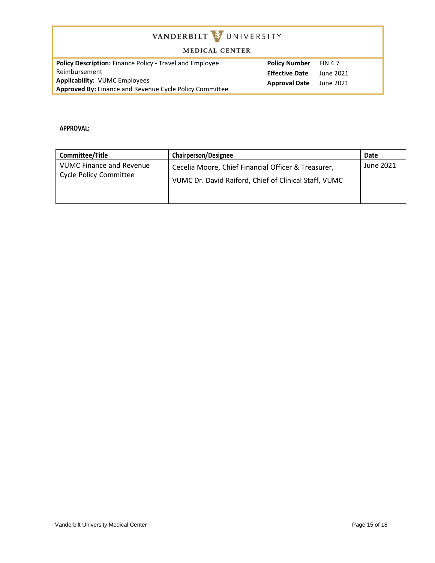#### MEDICAL CENTER

**Policy Description:** Finance Policy **-** Travel and Employee Reimbursement **Applicability:** VUMC Employees **Approved By:** Finance and Revenue Cycle Policy Committee **Policy Number** FIN 4.7 **Effective Date** June 2021 **Approval Date** June 2021

**APPROVAL:**

| Committee/Title                                                  | <b>Chairperson/Designee</b>                                                                                  | Date      |
|------------------------------------------------------------------|--------------------------------------------------------------------------------------------------------------|-----------|
| <b>VUMC Finance and Revenue</b><br><b>Cycle Policy Committee</b> | Cecelia Moore, Chief Financial Officer & Treasurer,<br>VUMC Dr. David Raiford, Chief of Clinical Staff, VUMC | June 2021 |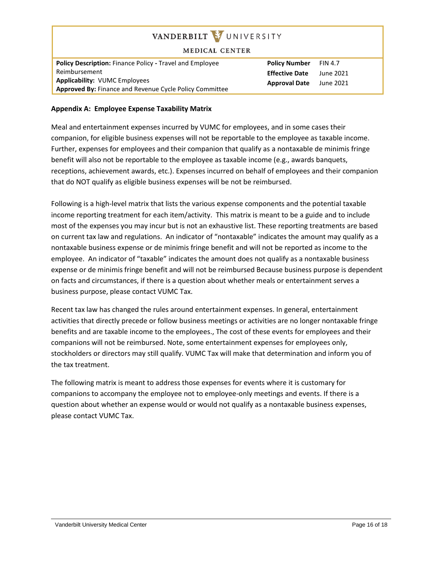| VANDERBILT WUNIVERSITY<br><b>MEDICAL CENTER</b>                                                 |                       |                |
|-------------------------------------------------------------------------------------------------|-----------------------|----------------|
| <b>Policy Description: Finance Policy - Travel and Employee</b>                                 | <b>Policy Number</b>  | <b>FIN 4.7</b> |
| Reimbursement                                                                                   | <b>Effective Date</b> | June 2021      |
| <b>Applicability: VUMC Employees</b><br>Approved By: Finance and Revenue Cycle Policy Committee | <b>Approval Date</b>  | June 2021      |

## **Appendix A: Employee Expense Taxability Matrix**

Meal and entertainment expenses incurred by VUMC for employees, and in some cases their companion, for eligible business expenses will not be reportable to the employee as taxable income. Further, expenses for employees and their companion that qualify as a nontaxable de minimis fringe benefit will also not be reportable to the employee as taxable income (e.g., awards banquets, receptions, achievement awards, etc.). Expenses incurred on behalf of employees and their companion that do NOT qualify as eligible business expenses will be not be reimbursed.

Following is a high-level matrix that lists the various expense components and the potential taxable income reporting treatment for each item/activity. This matrix is meant to be a guide and to include most of the expenses you may incur but is not an exhaustive list. These reporting treatments are based on current tax law and regulations. An indicator of "nontaxable" indicates the amount may qualify as a nontaxable business expense or de minimis fringe benefit and will not be reported as income to the employee. An indicator of "taxable" indicates the amount does not qualify as a nontaxable business expense or de minimis fringe benefit and will not be reimbursed Because business purpose is dependent on facts and circumstances, if there is a question about whether meals or entertainment serves a business purpose, please contact VUMC Tax.

Recent tax law has changed the rules around entertainment expenses. In general, entertainment activities that directly precede or follow business meetings or activities are no longer nontaxable fringe benefits and are taxable income to the employees., The cost of these events for employees and their companions will not be reimbursed. Note, some entertainment expenses for employees only, stockholders or directors may still qualify. VUMC Tax will make that determination and inform you of the tax treatment.

The following matrix is meant to address those expenses for events where it is customary for companions to accompany the employee not to employee-only meetings and events. If there is a question about whether an expense would or would not qualify as a nontaxable business expenses, please contact VUMC Tax.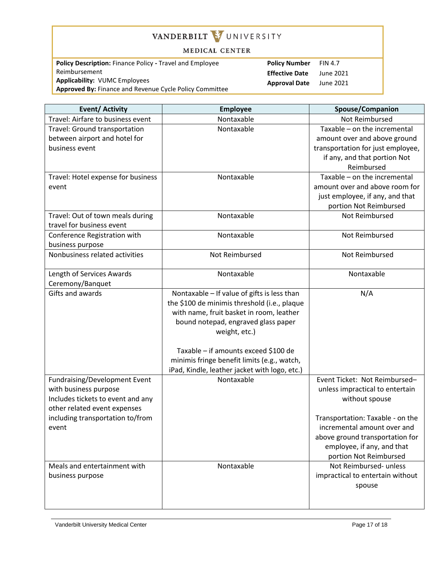#### MEDICAL CENTER

**Policy Description:** Finance Policy **-** Travel and Employee Reimbursement **Applicability:** VUMC Employees **Approved By:** Finance and Revenue Cycle Policy Committee **Policy Number** FIN 4.7 **Effective Date** June 2021 **Approval Date** June 2021

| <b>Event/ Activity</b>             | <b>Employee</b>                               | Spouse/Companion                  |
|------------------------------------|-----------------------------------------------|-----------------------------------|
| Travel: Airfare to business event  | Nontaxable                                    | Not Reimbursed                    |
| Travel: Ground transportation      | Nontaxable                                    | Taxable - on the incremental      |
| between airport and hotel for      |                                               | amount over and above ground      |
| business event                     |                                               | transportation for just employee, |
|                                    |                                               | if any, and that portion Not      |
|                                    |                                               | Reimbursed                        |
| Travel: Hotel expense for business | Nontaxable                                    | Taxable - on the incremental      |
| event                              |                                               | amount over and above room for    |
|                                    |                                               | just employee, if any, and that   |
|                                    |                                               | portion Not Reimbursed            |
| Travel: Out of town meals during   | Nontaxable                                    | Not Reimbursed                    |
| travel for business event          |                                               |                                   |
| Conference Registration with       | Nontaxable                                    | Not Reimbursed                    |
| business purpose                   |                                               |                                   |
| Nonbusiness related activities     | Not Reimbursed                                | Not Reimbursed                    |
|                                    |                                               |                                   |
| Length of Services Awards          | Nontaxable                                    | Nontaxable                        |
| Ceremony/Banquet                   |                                               |                                   |
| <b>Gifts and awards</b>            | Nontaxable - If value of gifts is less than   | N/A                               |
|                                    | the \$100 de minimis threshold (i.e., plaque  |                                   |
|                                    | with name, fruit basket in room, leather      |                                   |
|                                    | bound notepad, engraved glass paper           |                                   |
|                                    | weight, etc.)                                 |                                   |
|                                    |                                               |                                   |
|                                    | Taxable - if amounts exceed \$100 de          |                                   |
|                                    | minimis fringe benefit limits (e.g., watch,   |                                   |
|                                    | iPad, Kindle, leather jacket with logo, etc.) |                                   |
| Fundraising/Development Event      | Nontaxable                                    | Event Ticket: Not Reimbursed-     |
| with business purpose              |                                               | unless impractical to entertain   |
| Includes tickets to event and any  |                                               | without spouse                    |
| other related event expenses       |                                               |                                   |
| including transportation to/from   |                                               | Transportation: Taxable - on the  |
| event                              |                                               | incremental amount over and       |
|                                    |                                               | above ground transportation for   |
|                                    |                                               | employee, if any, and that        |
|                                    |                                               | portion Not Reimbursed            |
| Meals and entertainment with       | Nontaxable                                    | Not Reimbursed- unless            |
| business purpose                   |                                               | impractical to entertain without  |
|                                    |                                               | spouse                            |
|                                    |                                               |                                   |